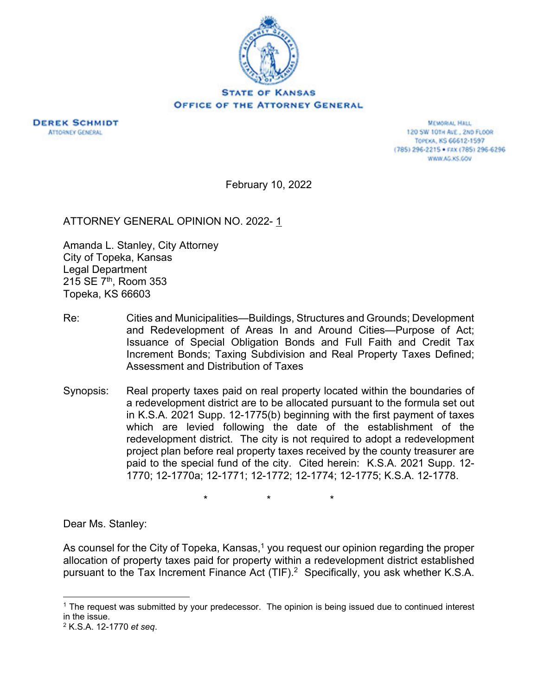



MEMORIAL HALL 120 SW 101H AVE., 2ND FLOOR TOPEXA, KS 66612-1597 (785) 296-2215 · FAX (785) 296-6296 WWW.AG.KS.GOV

February 10, 2022

ATTORNEY GENERAL OPINION NO. 2022-1

Amanda L. Stanley, City Attorney City of Topeka, Kansas Legal Department 215 SE 7th, Room 353 Topeka, KS 66603

- Re: Cities and Municipalities—Buildings, Structures and Grounds; Development and Redevelopment of Areas In and Around Cities—Purpose of Act; Issuance of Special Obligation Bonds and Full Faith and Credit Tax Increment Bonds; Taxing Subdivision and Real Property Taxes Defined; Assessment and Distribution of Taxes
- Synopsis: Real property taxes paid on real property located within the boundaries of a redevelopment district are to be allocated pursuant to the formula set out in K.S.A. 2021 Supp. 12-1775(b) beginning with the first payment of taxes which are levied following the date of the establishment of the redevelopment district. The city is not required to adopt a redevelopment project plan before real property taxes received by the county treasurer are paid to the special fund of the city. Cited herein: K.S.A. 2021 Supp. 12- 1770; 12-1770a; 12-1771; 12-1772; 12-1774; 12-1775; K.S.A. 12-1778.

\* \* \*

Dear Ms. Stanley:

As counsel for the City of Topeka, Kansas,<sup>1</sup> you request our opinion regarding the proper allocation of property taxes paid for property within a redevelopment district established pursuant to the Tax Increment Finance Act (TIF).<sup>2</sup> Specifically, you ask whether K.S.A.

<sup>1</sup> The request was submitted by your predecessor. The opinion is being issued due to continued interest in the issue.

<sup>2</sup> K.S.A. 12-1770 *et seq*.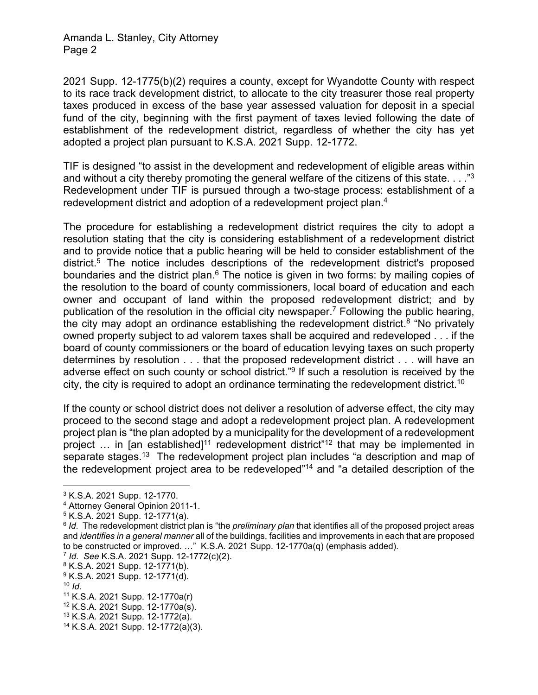## Amanda L. Stanley, City Attorney Page 2

2021 Supp. 12-1775(b)(2) requires a county, except for Wyandotte County with respect to its race track development district, to allocate to the city treasurer those real property taxes produced in excess of the base year assessed valuation for deposit in a special fund of the city, beginning with the first payment of taxes levied following the date of establishment of the redevelopment district, regardless of whether the city has yet adopted a project plan pursuant to K.S.A. 2021 Supp. 12-1772.

TIF is designed "to assist in the development and redevelopment of eligible areas within and without a city thereby promoting the general welfare of the citizens of this state. . . . "3 Redevelopment under TIF is pursued through a two-stage process: establishment of a redevelopment district and adoption of a redevelopment project plan.<sup>4</sup>

The procedure for establishing a redevelopment district requires the city to adopt a resolution stating that the city is considering establishment of a redevelopment district and to provide notice that a public hearing will be held to consider establishment of the district.5 The notice includes descriptions of the redevelopment district's proposed boundaries and the district plan.<sup>6</sup> The notice is given in two forms: by mailing copies of the resolution to the board of county commissioners, local board of education and each owner and occupant of land within the proposed redevelopment district; and by publication of the resolution in the official city newspaper.<sup>7</sup> Following the public hearing, the city may adopt an ordinance establishing the redevelopment district.<sup>8</sup> "No privately owned property subject to ad valorem taxes shall be acquired and redeveloped . . . if the board of county commissioners or the board of education levying taxes on such property determines by resolution . . . that the proposed redevelopment district . . . will have an adverse effect on such county or school district."<sup>9</sup> If such a resolution is received by the city, the city is required to adopt an ordinance terminating the redevelopment district.<sup>10</sup>

If the county or school district does not deliver a resolution of adverse effect, the city may proceed to the second stage and adopt a redevelopment project plan. A redevelopment project plan is "the plan adopted by a municipality for the development of a redevelopment project ... in [an established]<sup>11</sup> redevelopment district"<sup>12</sup> that may be implemented in separate stages.<sup>13</sup> The redevelopment project plan includes "a description and map of the redevelopment project area to be redeveloped"14 and "a detailed description of the

<sup>7</sup> *Id*. *See* K.S.A. 2021 Supp. 12-1772(c)(2).

<sup>3</sup> K.S.A. 2021 Supp. 12-1770.

<sup>4</sup> Attorney General Opinion 2011-1.

<sup>5</sup> K.S.A. 2021 Supp. 12-1771(a).

<sup>6</sup> *Id*. The redevelopment district plan is "the *preliminary plan* that identifies all of the proposed project areas and *identifies in a general manner* all of the buildings, facilities and improvements in each that are proposed to be constructed or improved. …" K.S.A. 2021 Supp. 12-1770a(q) (emphasis added).

<sup>8</sup> K.S.A. 2021 Supp. 12-1771(b).

 $9$  K.S.A. 2021 Supp. 12-1771(d).<br><sup>10</sup> ld.

<sup>10</sup> *Id*. 11 K.S.A. 2021 Supp. 12-1770a(r)

<sup>12</sup> K.S.A. 2021 Supp. 12-1770a(s).

<sup>13</sup> K.S.A. 2021 Supp. 12-1772(a).

<sup>14</sup> K.S.A. 2021 Supp. 12-1772(a)(3).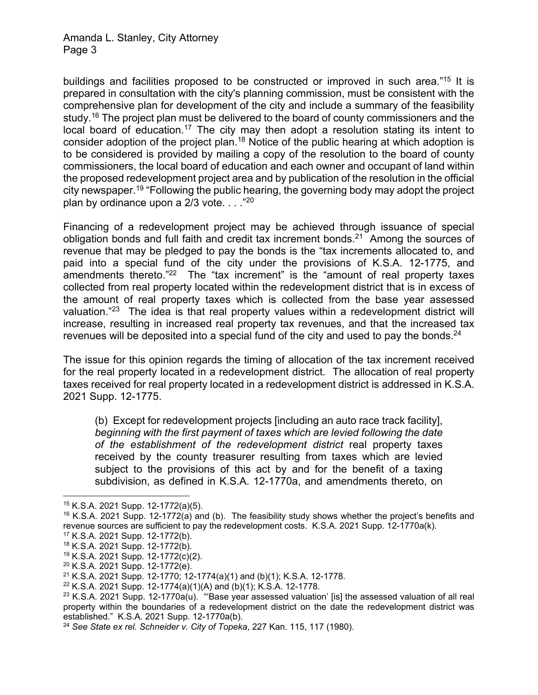buildings and facilities proposed to be constructed or improved in such area."15 It is prepared in consultation with the city's planning commission, must be consistent with the comprehensive plan for development of the city and include a summary of the feasibility study.<sup>16</sup> The project plan must be delivered to the board of county commissioners and the local board of education.<sup>17</sup> The city may then adopt a resolution stating its intent to consider adoption of the project plan.<sup>18</sup> Notice of the public hearing at which adoption is to be considered is provided by mailing a copy of the resolution to the board of county commissioners, the local board of education and each owner and occupant of land within the proposed redevelopment project area and by publication of the resolution in the official city newspaper.19 "Following the public hearing, the governing body may adopt the project plan by ordinance upon a  $2/3$  vote.  $\ldots$ <sup>20</sup>

Financing of a redevelopment project may be achieved through issuance of special obligation bonds and full faith and credit tax increment bonds.<sup>21</sup> Among the sources of revenue that may be pledged to pay the bonds is the "tax increments allocated to, and paid into a special fund of the city under the provisions of K.S.A. 12-1775, and amendments thereto."<sup>22</sup> The "tax increment" is the "amount of real property taxes collected from real property located within the redevelopment district that is in excess of the amount of real property taxes which is collected from the base year assessed valuation."<sup>23</sup> The idea is that real property values within a redevelopment district will increase, resulting in increased real property tax revenues, and that the increased tax revenues will be deposited into a special fund of the city and used to pay the bonds.<sup>24</sup>

The issue for this opinion regards the timing of allocation of the tax increment received for the real property located in a redevelopment district. The allocation of real property taxes received for real property located in a redevelopment district is addressed in K.S.A. 2021 Supp. 12-1775.

(b) Except for redevelopment projects [including an auto race track facility], *beginning with the first payment of taxes which are levied following the date of the establishment of the redevelopment district* real property taxes received by the county treasurer resulting from taxes which are levied subject to the provisions of this act by and for the benefit of a taxing subdivision, as defined in K.S.A. 12-1770a, and amendments thereto, on

<sup>15</sup> K.S.A. 2021 Supp. 12-1772(a)(5).

 $16$  K.S.A. 2021 Supp. 12-1772(a) and (b). The feasibility study shows whether the project's benefits and revenue sources are sufficient to pay the redevelopment costs. K.S.A. 2021 Supp. 12-1770a(k).

<sup>17</sup> K.S.A. 2021 Supp. 12-1772(b).

<sup>18</sup> K.S.A. 2021 Supp. 12-1772(b).

<sup>19</sup> K.S.A. 2021 Supp. 12-1772(c)(2).

<sup>20</sup> K.S.A. 2021 Supp. 12-1772(e).

<sup>21</sup> K.S.A. 2021 Supp. 12-1770; 12-1774(a)(1) and (b)(1); K.S.A. 12-1778.

<sup>22</sup> K.S.A. 2021 Supp. 12-1774(a)(1)(A) and (b)(1); K.S.A. 12-1778.

<sup>&</sup>lt;sup>23</sup> K.S.A. 2021 Supp. 12-1770a(u). ""Base year assessed valuation' [is] the assessed valuation of all real property within the boundaries of a redevelopment district on the date the redevelopment district was established." K.S.A. 2021 Supp. 12-1770a(b).

<sup>24</sup> *See State ex rel. Schneider v. City of Topeka*, 227 Kan. 115, 117 (1980).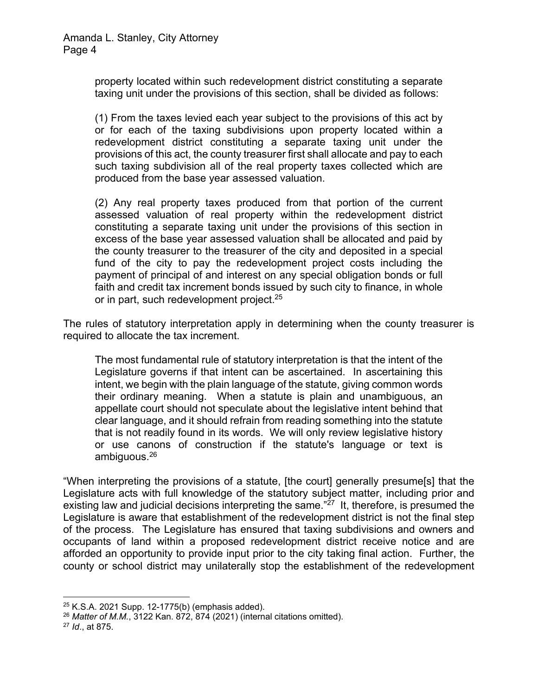property located within such redevelopment district constituting a separate taxing unit under the provisions of this section, shall be divided as follows:

(1) From the taxes levied each year subject to the provisions of this act by or for each of the taxing subdivisions upon property located within a redevelopment district constituting a separate taxing unit under the provisions of this act, the county treasurer first shall allocate and pay to each such taxing subdivision all of the real property taxes collected which are produced from the base year assessed valuation.

(2) Any real property taxes produced from that portion of the current assessed valuation of real property within the redevelopment district constituting a separate taxing unit under the provisions of this section in excess of the base year assessed valuation shall be allocated and paid by the county treasurer to the treasurer of the city and deposited in a special fund of the city to pay the redevelopment project costs including the payment of principal of and interest on any special obligation bonds or full faith and credit tax increment bonds issued by such city to finance, in whole or in part, such redevelopment project.<sup>25</sup>

The rules of statutory interpretation apply in determining when the county treasurer is required to allocate the tax increment.

The most fundamental rule of statutory interpretation is that the intent of the Legislature governs if that intent can be ascertained. In ascertaining this intent, we begin with the plain language of the statute, giving common words their ordinary meaning. When a statute is plain and unambiguous, an appellate court should not speculate about the legislative intent behind that clear language, and it should refrain from reading something into the statute that is not readily found in its words. We will only review legislative history or use canons of construction if the statute's language or text is ambiguous.26

"When interpreting the provisions of a statute, [the court] generally presume[s] that the Legislature acts with full knowledge of the statutory subject matter, including prior and existing law and judicial decisions interpreting the same." $27$  It, therefore, is presumed the Legislature is aware that establishment of the redevelopment district is not the final step of the process. The Legislature has ensured that taxing subdivisions and owners and occupants of land within a proposed redevelopment district receive notice and are afforded an opportunity to provide input prior to the city taking final action. Further, the county or school district may unilaterally stop the establishment of the redevelopment

 $25$  K.S.A. 2021 Supp. 12-1775(b) (emphasis added).

<sup>26</sup> *Matter of M.M.*, 3122 Kan. 872, 874 (2021) (internal citations omitted).

<sup>27</sup> *Id*., at 875.